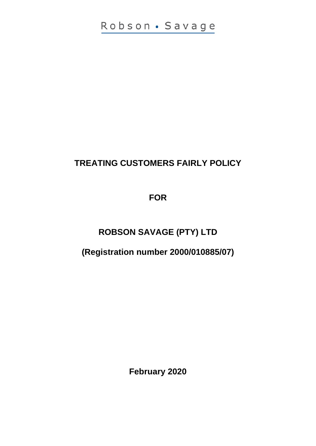### **TREATING CUSTOMERS FAIRLY POLICY**

**FOR**

## **ROBSON SAVAGE (PTY) LTD**

### **(Registration number 2000/010885/07)**

**February 2020**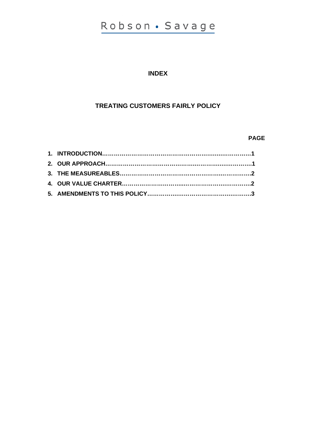# Robson · Savage

#### **INDEX**

#### **TREATING CUSTOMERS FAIRLY POLICY**

#### **PAGE**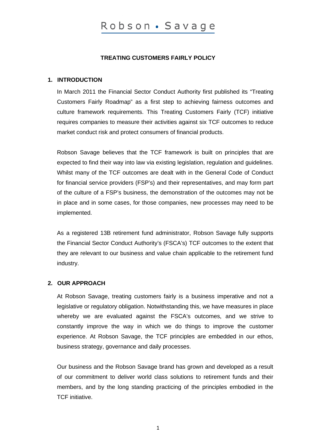## Robson · Savage

#### **TREATING CUSTOMERS FAIRLY POLICY**

#### **1. INTRODUCTION**

In March 2011 the Financial Sector Conduct Authority first published its "Treating Customers Fairly Roadmap" as a first step to achieving fairness outcomes and culture framework requirements. This Treating Customers Fairly (TCF) initiative requires companies to measure their activities against six TCF outcomes to reduce market conduct risk and protect consumers of financial products.

Robson Savage believes that the TCF framework is built on principles that are expected to find their way into law via existing legislation, regulation and guidelines. Whilst many of the TCF outcomes are dealt with in the General Code of Conduct for financial service providers (FSP's) and their representatives, and may form part of the culture of a FSP's business, the demonstration of the outcomes may not be in place and in some cases, for those companies, new processes may need to be implemented.

As a registered 13B retirement fund administrator, Robson Savage fully supports the Financial Sector Conduct Authority's (FSCA's) TCF outcomes to the extent that they are relevant to our business and value chain applicable to the retirement fund industry.

#### **2. OUR APPROACH**

At Robson Savage, treating customers fairly is a business imperative and not a legislative or regulatory obligation. Notwithstanding this, we have measures in place whereby we are evaluated against the FSCA's outcomes, and we strive to constantly improve the way in which we do things to improve the customer experience. At Robson Savage, the TCF principles are embedded in our ethos, business strategy, governance and daily processes.

Our business and the Robson Savage brand has grown and developed as a result of our commitment to deliver world class solutions to retirement funds and their members, and by the long standing practicing of the principles embodied in the TCF initiative.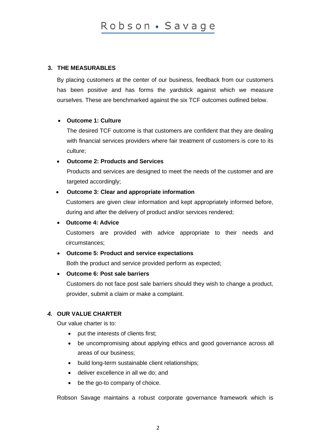#### **3. THE MEASURABLES**

By placing customers at the center of our business, feedback from our customers has been positive and has forms the yardstick against which we measure ourselves. These are benchmarked against the six TCF outcomes outlined below.

#### • **Outcome 1: Culture**

The desired TCF outcome is that customers are confident that they are dealing with financial services providers where fair treatment of customers is core to its culture;

#### • **Outcome 2: Products and Services**

Products and services are designed to meet the needs of the customer and are targeted accordingly;

#### • **Outcome 3: Clear and appropriate information**

Customers are given clear information and kept appropriately informed before, during and after the delivery of product and/or services rendered;

#### • **Outcome 4: Advice**

Customers are provided with advice appropriate to their needs and circumstances;

#### • **Outcome 5: Product and service expectations**

Both the product and service provided perform as expected;

#### • **Outcome 6: Post sale barriers**

Customers do not face post sale barriers should they wish to change a product, provider, submit a claim or make a complaint.

#### *4.* **OUR VALUE CHARTER**

Our value charter is to:

- put the interests of clients first;
- be uncompromising about applying ethics and good governance across all areas of our business;
- build long-term sustainable client relationships;
- deliver excellence in all we do; and
- be the go-to company of choice.

Robson Savage maintains a robust corporate governance framework which is